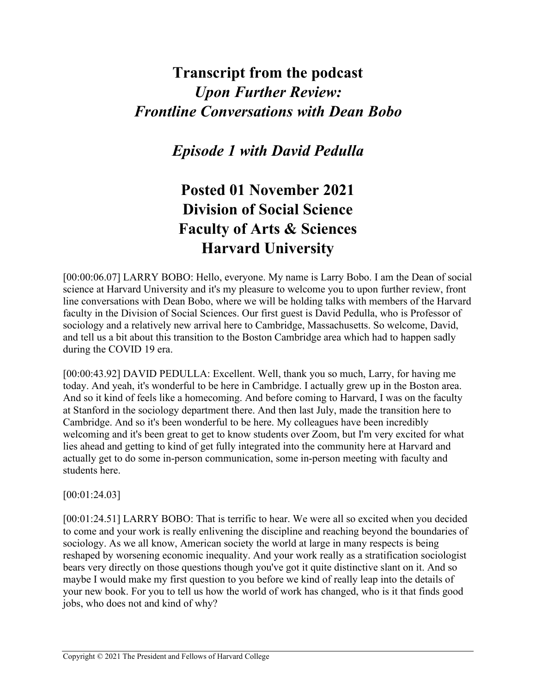## **Transcript from the podcast** *Upon Further Review: Frontline Conversations with Dean Bobo*

*Episode 1 with David Pedulla*

## **Posted 01 November 2021 Division of Social Science Faculty of Arts & Sciences Harvard University**

[00:00:06.07] LARRY BOBO: Hello, everyone. My name is Larry Bobo. I am the Dean of social science at Harvard University and it's my pleasure to welcome you to upon further review, front line conversations with Dean Bobo, where we will be holding talks with members of the Harvard faculty in the Division of Social Sciences. Our first guest is David Pedulla, who is Professor of sociology and a relatively new arrival here to Cambridge, Massachusetts. So welcome, David, and tell us a bit about this transition to the Boston Cambridge area which had to happen sadly during the COVID 19 era.

[00:00:43.92] DAVID PEDULLA: Excellent. Well, thank you so much, Larry, for having me today. And yeah, it's wonderful to be here in Cambridge. I actually grew up in the Boston area. And so it kind of feels like a homecoming. And before coming to Harvard, I was on the faculty at Stanford in the sociology department there. And then last July, made the transition here to Cambridge. And so it's been wonderful to be here. My colleagues have been incredibly welcoming and it's been great to get to know students over Zoom, but I'm very excited for what lies ahead and getting to kind of get fully integrated into the community here at Harvard and actually get to do some in-person communication, some in-person meeting with faculty and students here.

## [00:01:24.03]

[00:01:24.51] LARRY BOBO: That is terrific to hear. We were all so excited when you decided to come and your work is really enlivening the discipline and reaching beyond the boundaries of sociology. As we all know, American society the world at large in many respects is being reshaped by worsening economic inequality. And your work really as a stratification sociologist bears very directly on those questions though you've got it quite distinctive slant on it. And so maybe I would make my first question to you before we kind of really leap into the details of your new book. For you to tell us how the world of work has changed, who is it that finds good jobs, who does not and kind of why?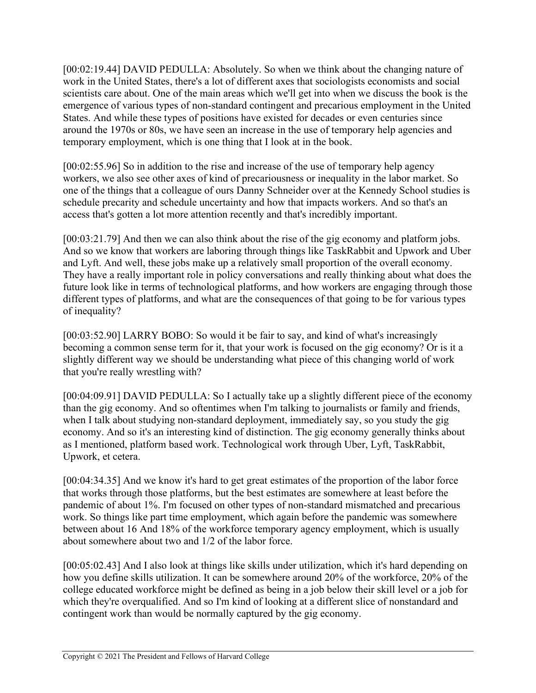[00:02:19.44] DAVID PEDULLA: Absolutely. So when we think about the changing nature of work in the United States, there's a lot of different axes that sociologists economists and social scientists care about. One of the main areas which we'll get into when we discuss the book is the emergence of various types of non-standard contingent and precarious employment in the United States. And while these types of positions have existed for decades or even centuries since around the 1970s or 80s, we have seen an increase in the use of temporary help agencies and temporary employment, which is one thing that I look at in the book.

[00:02:55.96] So in addition to the rise and increase of the use of temporary help agency workers, we also see other axes of kind of precariousness or inequality in the labor market. So one of the things that a colleague of ours Danny Schneider over at the Kennedy School studies is schedule precarity and schedule uncertainty and how that impacts workers. And so that's an access that's gotten a lot more attention recently and that's incredibly important.

[00:03:21.79] And then we can also think about the rise of the gig economy and platform jobs. And so we know that workers are laboring through things like TaskRabbit and Upwork and Uber and Lyft. And well, these jobs make up a relatively small proportion of the overall economy. They have a really important role in policy conversations and really thinking about what does the future look like in terms of technological platforms, and how workers are engaging through those different types of platforms, and what are the consequences of that going to be for various types of inequality?

[00:03:52.90] LARRY BOBO: So would it be fair to say, and kind of what's increasingly becoming a common sense term for it, that your work is focused on the gig economy? Or is it a slightly different way we should be understanding what piece of this changing world of work that you're really wrestling with?

[00:04:09.91] DAVID PEDULLA: So I actually take up a slightly different piece of the economy than the gig economy. And so oftentimes when I'm talking to journalists or family and friends, when I talk about studying non-standard deployment, immediately say, so you study the gig economy. And so it's an interesting kind of distinction. The gig economy generally thinks about as I mentioned, platform based work. Technological work through Uber, Lyft, TaskRabbit, Upwork, et cetera.

[00:04:34.35] And we know it's hard to get great estimates of the proportion of the labor force that works through those platforms, but the best estimates are somewhere at least before the pandemic of about 1%. I'm focused on other types of non-standard mismatched and precarious work. So things like part time employment, which again before the pandemic was somewhere between about 16 And 18% of the workforce temporary agency employment, which is usually about somewhere about two and 1/2 of the labor force.

[00:05:02.43] And I also look at things like skills under utilization, which it's hard depending on how you define skills utilization. It can be somewhere around 20% of the workforce, 20% of the college educated workforce might be defined as being in a job below their skill level or a job for which they're overqualified. And so I'm kind of looking at a different slice of nonstandard and contingent work than would be normally captured by the gig economy.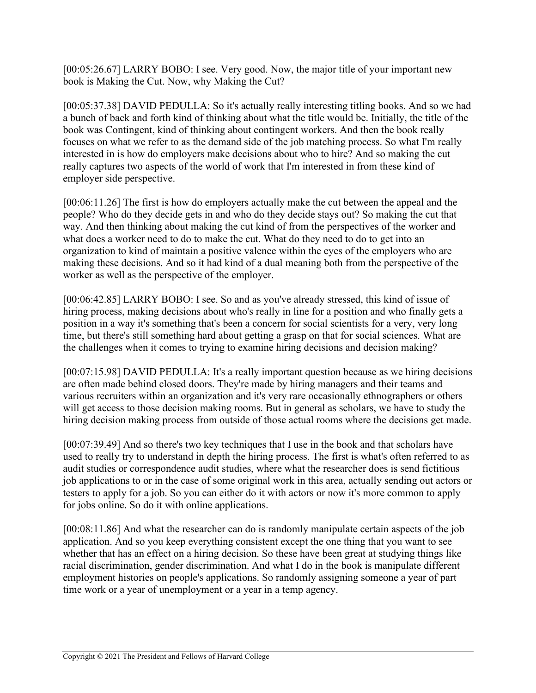[00:05:26.67] LARRY BOBO: I see. Very good. Now, the major title of your important new book is Making the Cut. Now, why Making the Cut?

[00:05:37.38] DAVID PEDULLA: So it's actually really interesting titling books. And so we had a bunch of back and forth kind of thinking about what the title would be. Initially, the title of the book was Contingent, kind of thinking about contingent workers. And then the book really focuses on what we refer to as the demand side of the job matching process. So what I'm really interested in is how do employers make decisions about who to hire? And so making the cut really captures two aspects of the world of work that I'm interested in from these kind of employer side perspective.

[00:06:11.26] The first is how do employers actually make the cut between the appeal and the people? Who do they decide gets in and who do they decide stays out? So making the cut that way. And then thinking about making the cut kind of from the perspectives of the worker and what does a worker need to do to make the cut. What do they need to do to get into an organization to kind of maintain a positive valence within the eyes of the employers who are making these decisions. And so it had kind of a dual meaning both from the perspective of the worker as well as the perspective of the employer.

[00:06:42.85] LARRY BOBO: I see. So and as you've already stressed, this kind of issue of hiring process, making decisions about who's really in line for a position and who finally gets a position in a way it's something that's been a concern for social scientists for a very, very long time, but there's still something hard about getting a grasp on that for social sciences. What are the challenges when it comes to trying to examine hiring decisions and decision making?

[00:07:15.98] DAVID PEDULLA: It's a really important question because as we hiring decisions are often made behind closed doors. They're made by hiring managers and their teams and various recruiters within an organization and it's very rare occasionally ethnographers or others will get access to those decision making rooms. But in general as scholars, we have to study the hiring decision making process from outside of those actual rooms where the decisions get made.

[00:07:39.49] And so there's two key techniques that I use in the book and that scholars have used to really try to understand in depth the hiring process. The first is what's often referred to as audit studies or correspondence audit studies, where what the researcher does is send fictitious job applications to or in the case of some original work in this area, actually sending out actors or testers to apply for a job. So you can either do it with actors or now it's more common to apply for jobs online. So do it with online applications.

[00:08:11.86] And what the researcher can do is randomly manipulate certain aspects of the job application. And so you keep everything consistent except the one thing that you want to see whether that has an effect on a hiring decision. So these have been great at studying things like racial discrimination, gender discrimination. And what I do in the book is manipulate different employment histories on people's applications. So randomly assigning someone a year of part time work or a year of unemployment or a year in a temp agency.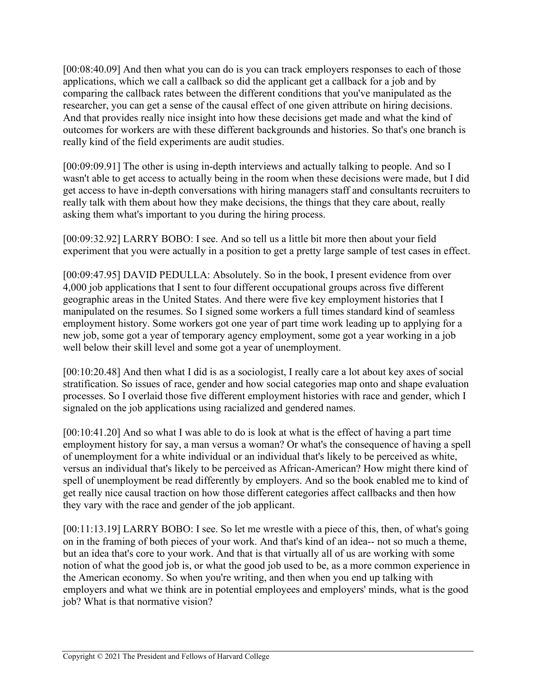[00:08:40.09] And then what you can do is you can track employers responses to each of those applications, which we call a callback so did the applicant get a callback for a job and by comparing the callback rates between the different conditions that you've manipulated as the researcher, you can get a sense of the causal effect of one given attribute on hiring decisions. And that provides really nice insight into how these decisions get made and what the kind of outcomes for workers are with these different backgrounds and histories. So that's one branch is really kind of the field experiments are audit studies.

[00:09:09.91] The other is using in-depth interviews and actually talking to people. And so I wasn't able to get access to actually being in the room when these decisions were made, but I did get access to have in-depth conversations with hiring managers staff and consultants recruiters to really talk with them about how they make decisions, the things that they care about, really asking them what's important to you during the hiring process.

[00:09:32.92] LARRY BOBO: I see. And so tell us a little bit more then about your field experiment that you were actually in a position to get a pretty large sample of test cases in effect.

[00:09:47.95] DAVID PEDULLA: Absolutely. So in the book, I present evidence from over 4,000 job applications that I sent to four different occupational groups across five different geographic areas in the United States. And there were five key employment histories that I manipulated on the resumes. So I signed some workers a full times standard kind of seamless employment history. Some workers got one year of part time work leading up to applying for a new job, some got a year of temporary agency employment, some got a year working in a job well below their skill level and some got a year of unemployment.

[00:10:20.48] And then what I did is as a sociologist, I really care a lot about key axes of social stratification. So issues of race, gender and how social categories map onto and shape evaluation processes. So I overlaid those five different employment histories with race and gender, which I signaled on the job applications using racialized and gendered names.

[00:10:41.20] And so what I was able to do is look at what is the effect of having a part time employment history for say, a man versus a woman? Or what's the consequence of having a spell of unemployment for a white individual or an individual that's likely to be perceived as white, versus an individual that's likely to be perceived as African-American? How might there kind of spell of unemployment be read differently by employers. And so the book enabled me to kind of get really nice causal traction on how those different categories affect callbacks and then how they vary with the race and gender of the job applicant.

[00:11:13.19] LARRY BOBO: I see. So let me wrestle with a piece of this, then, of what's going on in the framing of both pieces of your work. And that's kind of an idea-- not so much a theme, but an idea that's core to your work. And that is that virtually all of us are working with some notion of what the good job is, or what the good job used to be, as a more common experience in the American economy. So when you're writing, and then when you end up talking with employers and what we think are in potential employees and employers' minds, what is the good job? What is that normative vision?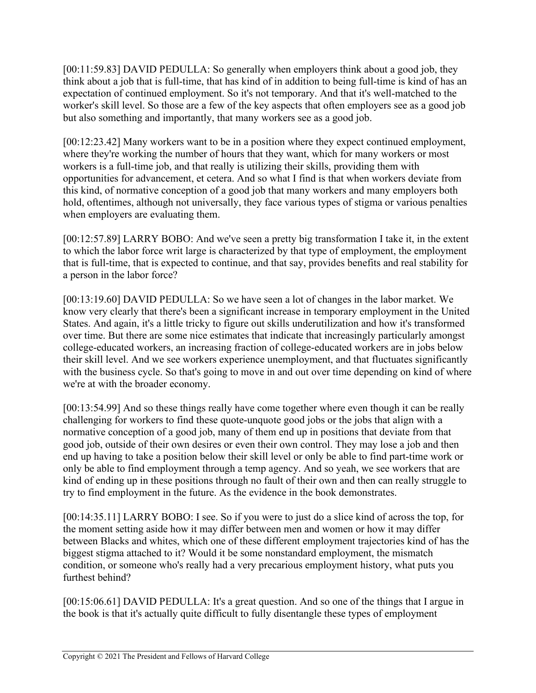[00:11:59.83] DAVID PEDULLA: So generally when employers think about a good job, they think about a job that is full-time, that has kind of in addition to being full-time is kind of has an expectation of continued employment. So it's not temporary. And that it's well-matched to the worker's skill level. So those are a few of the key aspects that often employers see as a good job but also something and importantly, that many workers see as a good job.

[00:12:23.42] Many workers want to be in a position where they expect continued employment, where they're working the number of hours that they want, which for many workers or most workers is a full-time job, and that really is utilizing their skills, providing them with opportunities for advancement, et cetera. And so what I find is that when workers deviate from this kind, of normative conception of a good job that many workers and many employers both hold, oftentimes, although not universally, they face various types of stigma or various penalties when employers are evaluating them.

[00:12:57.89] LARRY BOBO: And we've seen a pretty big transformation I take it, in the extent to which the labor force writ large is characterized by that type of employment, the employment that is full-time, that is expected to continue, and that say, provides benefits and real stability for a person in the labor force?

[00:13:19.60] DAVID PEDULLA: So we have seen a lot of changes in the labor market. We know very clearly that there's been a significant increase in temporary employment in the United States. And again, it's a little tricky to figure out skills underutilization and how it's transformed over time. But there are some nice estimates that indicate that increasingly particularly amongst college-educated workers, an increasing fraction of college-educated workers are in jobs below their skill level. And we see workers experience unemployment, and that fluctuates significantly with the business cycle. So that's going to move in and out over time depending on kind of where we're at with the broader economy.

[00:13:54.99] And so these things really have come together where even though it can be really challenging for workers to find these quote-unquote good jobs or the jobs that align with a normative conception of a good job, many of them end up in positions that deviate from that good job, outside of their own desires or even their own control. They may lose a job and then end up having to take a position below their skill level or only be able to find part-time work or only be able to find employment through a temp agency. And so yeah, we see workers that are kind of ending up in these positions through no fault of their own and then can really struggle to try to find employment in the future. As the evidence in the book demonstrates.

[00:14:35.11] LARRY BOBO: I see. So if you were to just do a slice kind of across the top, for the moment setting aside how it may differ between men and women or how it may differ between Blacks and whites, which one of these different employment trajectories kind of has the biggest stigma attached to it? Would it be some nonstandard employment, the mismatch condition, or someone who's really had a very precarious employment history, what puts you furthest behind?

[00:15:06.61] DAVID PEDULLA: It's a great question. And so one of the things that I argue in the book is that it's actually quite difficult to fully disentangle these types of employment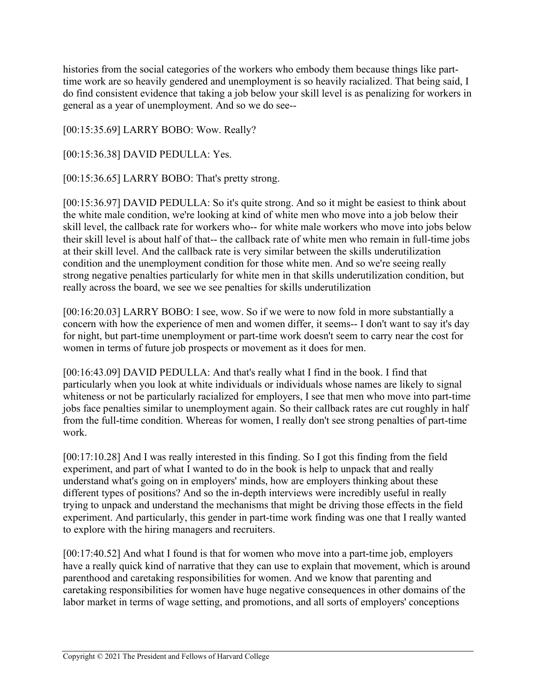histories from the social categories of the workers who embody them because things like parttime work are so heavily gendered and unemployment is so heavily racialized. That being said, I do find consistent evidence that taking a job below your skill level is as penalizing for workers in general as a year of unemployment. And so we do see--

[00:15:35.69] LARRY BOBO: Wow. Really?

[00:15:36.38] DAVID PEDULLA: Yes.

[00:15:36.65] LARRY BOBO: That's pretty strong.

[00:15:36.97] DAVID PEDULLA: So it's quite strong. And so it might be easiest to think about the white male condition, we're looking at kind of white men who move into a job below their skill level, the callback rate for workers who-- for white male workers who move into jobs below their skill level is about half of that-- the callback rate of white men who remain in full-time jobs at their skill level. And the callback rate is very similar between the skills underutilization condition and the unemployment condition for those white men. And so we're seeing really strong negative penalties particularly for white men in that skills underutilization condition, but really across the board, we see we see penalties for skills underutilization

[00:16:20.03] LARRY BOBO: I see, wow. So if we were to now fold in more substantially a concern with how the experience of men and women differ, it seems-- I don't want to say it's day for night, but part-time unemployment or part-time work doesn't seem to carry near the cost for women in terms of future job prospects or movement as it does for men.

[00:16:43.09] DAVID PEDULLA: And that's really what I find in the book. I find that particularly when you look at white individuals or individuals whose names are likely to signal whiteness or not be particularly racialized for employers, I see that men who move into part-time jobs face penalties similar to unemployment again. So their callback rates are cut roughly in half from the full-time condition. Whereas for women, I really don't see strong penalties of part-time work.

[00:17:10.28] And I was really interested in this finding. So I got this finding from the field experiment, and part of what I wanted to do in the book is help to unpack that and really understand what's going on in employers' minds, how are employers thinking about these different types of positions? And so the in-depth interviews were incredibly useful in really trying to unpack and understand the mechanisms that might be driving those effects in the field experiment. And particularly, this gender in part-time work finding was one that I really wanted to explore with the hiring managers and recruiters.

[00:17:40.52] And what I found is that for women who move into a part-time job, employers have a really quick kind of narrative that they can use to explain that movement, which is around parenthood and caretaking responsibilities for women. And we know that parenting and caretaking responsibilities for women have huge negative consequences in other domains of the labor market in terms of wage setting, and promotions, and all sorts of employers' conceptions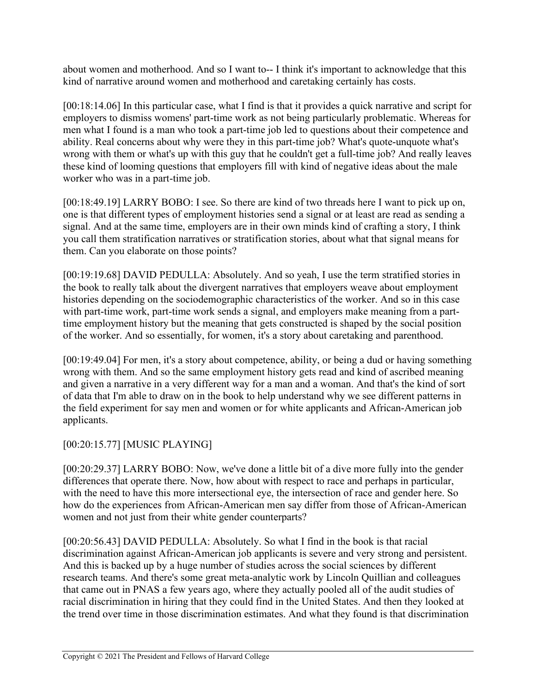about women and motherhood. And so I want to-- I think it's important to acknowledge that this kind of narrative around women and motherhood and caretaking certainly has costs.

[00:18:14.06] In this particular case, what I find is that it provides a quick narrative and script for employers to dismiss womens' part-time work as not being particularly problematic. Whereas for men what I found is a man who took a part-time job led to questions about their competence and ability. Real concerns about why were they in this part-time job? What's quote-unquote what's wrong with them or what's up with this guy that he couldn't get a full-time job? And really leaves these kind of looming questions that employers fill with kind of negative ideas about the male worker who was in a part-time job.

[00:18:49.19] LARRY BOBO: I see. So there are kind of two threads here I want to pick up on, one is that different types of employment histories send a signal or at least are read as sending a signal. And at the same time, employers are in their own minds kind of crafting a story, I think you call them stratification narratives or stratification stories, about what that signal means for them. Can you elaborate on those points?

[00:19:19.68] DAVID PEDULLA: Absolutely. And so yeah, I use the term stratified stories in the book to really talk about the divergent narratives that employers weave about employment histories depending on the sociodemographic characteristics of the worker. And so in this case with part-time work, part-time work sends a signal, and employers make meaning from a parttime employment history but the meaning that gets constructed is shaped by the social position of the worker. And so essentially, for women, it's a story about caretaking and parenthood.

[00:19:49.04] For men, it's a story about competence, ability, or being a dud or having something wrong with them. And so the same employment history gets read and kind of ascribed meaning and given a narrative in a very different way for a man and a woman. And that's the kind of sort of data that I'm able to draw on in the book to help understand why we see different patterns in the field experiment for say men and women or for white applicants and African-American job applicants.

## [00:20:15.77] [MUSIC PLAYING]

[00:20:29.37] LARRY BOBO: Now, we've done a little bit of a dive more fully into the gender differences that operate there. Now, how about with respect to race and perhaps in particular, with the need to have this more intersectional eye, the intersection of race and gender here. So how do the experiences from African-American men say differ from those of African-American women and not just from their white gender counterparts?

[00:20:56.43] DAVID PEDULLA: Absolutely. So what I find in the book is that racial discrimination against African-American job applicants is severe and very strong and persistent. And this is backed up by a huge number of studies across the social sciences by different research teams. And there's some great meta-analytic work by Lincoln Quillian and colleagues that came out in PNAS a few years ago, where they actually pooled all of the audit studies of racial discrimination in hiring that they could find in the United States. And then they looked at the trend over time in those discrimination estimates. And what they found is that discrimination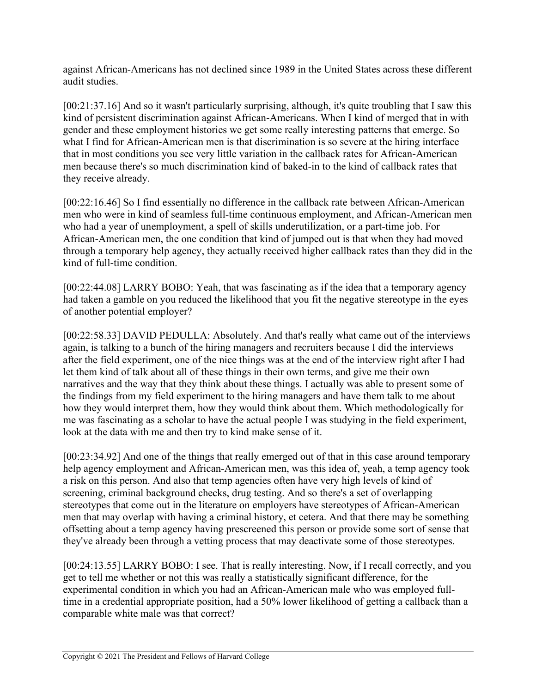against African-Americans has not declined since 1989 in the United States across these different audit studies.

[00:21:37.16] And so it wasn't particularly surprising, although, it's quite troubling that I saw this kind of persistent discrimination against African-Americans. When I kind of merged that in with gender and these employment histories we get some really interesting patterns that emerge. So what I find for African-American men is that discrimination is so severe at the hiring interface that in most conditions you see very little variation in the callback rates for African-American men because there's so much discrimination kind of baked-in to the kind of callback rates that they receive already.

[00:22:16.46] So I find essentially no difference in the callback rate between African-American men who were in kind of seamless full-time continuous employment, and African-American men who had a year of unemployment, a spell of skills underutilization, or a part-time job. For African-American men, the one condition that kind of jumped out is that when they had moved through a temporary help agency, they actually received higher callback rates than they did in the kind of full-time condition.

[00:22:44.08] LARRY BOBO: Yeah, that was fascinating as if the idea that a temporary agency had taken a gamble on you reduced the likelihood that you fit the negative stereotype in the eyes of another potential employer?

[00:22:58.33] DAVID PEDULLA: Absolutely. And that's really what came out of the interviews again, is talking to a bunch of the hiring managers and recruiters because I did the interviews after the field experiment, one of the nice things was at the end of the interview right after I had let them kind of talk about all of these things in their own terms, and give me their own narratives and the way that they think about these things. I actually was able to present some of the findings from my field experiment to the hiring managers and have them talk to me about how they would interpret them, how they would think about them. Which methodologically for me was fascinating as a scholar to have the actual people I was studying in the field experiment, look at the data with me and then try to kind make sense of it.

[00:23:34.92] And one of the things that really emerged out of that in this case around temporary help agency employment and African-American men, was this idea of, yeah, a temp agency took a risk on this person. And also that temp agencies often have very high levels of kind of screening, criminal background checks, drug testing. And so there's a set of overlapping stereotypes that come out in the literature on employers have stereotypes of African-American men that may overlap with having a criminal history, et cetera. And that there may be something offsetting about a temp agency having prescreened this person or provide some sort of sense that they've already been through a vetting process that may deactivate some of those stereotypes.

[00:24:13.55] LARRY BOBO: I see. That is really interesting. Now, if I recall correctly, and you get to tell me whether or not this was really a statistically significant difference, for the experimental condition in which you had an African-American male who was employed fulltime in a credential appropriate position, had a 50% lower likelihood of getting a callback than a comparable white male was that correct?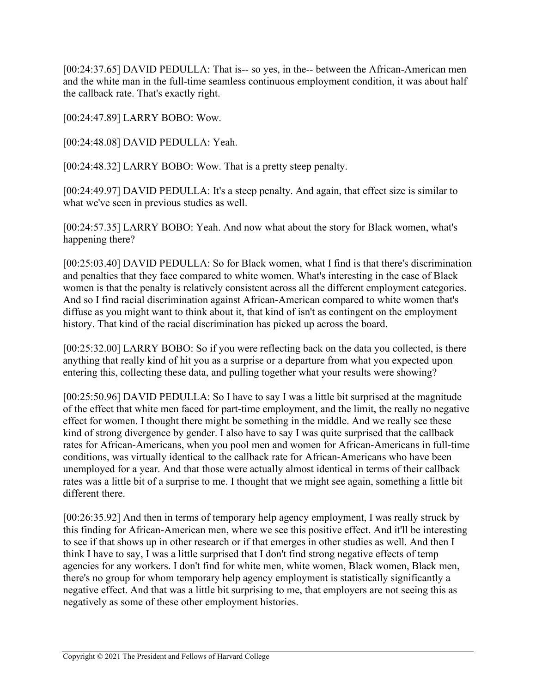[00:24:37.65] DAVID PEDULLA: That is-- so yes, in the-- between the African-American men and the white man in the full-time seamless continuous employment condition, it was about half the callback rate. That's exactly right.

[00:24:47.89] LARRY BOBO: Wow.

[00:24:48.08] DAVID PEDULLA: Yeah.

[00:24:48.32] LARRY BOBO: Wow. That is a pretty steep penalty.

[00:24:49.97] DAVID PEDULLA: It's a steep penalty. And again, that effect size is similar to what we've seen in previous studies as well.

[00:24:57.35] LARRY BOBO: Yeah. And now what about the story for Black women, what's happening there?

[00:25:03.40] DAVID PEDULLA: So for Black women, what I find is that there's discrimination and penalties that they face compared to white women. What's interesting in the case of Black women is that the penalty is relatively consistent across all the different employment categories. And so I find racial discrimination against African-American compared to white women that's diffuse as you might want to think about it, that kind of isn't as contingent on the employment history. That kind of the racial discrimination has picked up across the board.

[00:25:32.00] LARRY BOBO: So if you were reflecting back on the data you collected, is there anything that really kind of hit you as a surprise or a departure from what you expected upon entering this, collecting these data, and pulling together what your results were showing?

[00:25:50.96] DAVID PEDULLA: So I have to say I was a little bit surprised at the magnitude of the effect that white men faced for part-time employment, and the limit, the really no negative effect for women. I thought there might be something in the middle. And we really see these kind of strong divergence by gender. I also have to say I was quite surprised that the callback rates for African-Americans, when you pool men and women for African-Americans in full-time conditions, was virtually identical to the callback rate for African-Americans who have been unemployed for a year. And that those were actually almost identical in terms of their callback rates was a little bit of a surprise to me. I thought that we might see again, something a little bit different there.

[00:26:35.92] And then in terms of temporary help agency employment, I was really struck by this finding for African-American men, where we see this positive effect. And it'll be interesting to see if that shows up in other research or if that emerges in other studies as well. And then I think I have to say, I was a little surprised that I don't find strong negative effects of temp agencies for any workers. I don't find for white men, white women, Black women, Black men, there's no group for whom temporary help agency employment is statistically significantly a negative effect. And that was a little bit surprising to me, that employers are not seeing this as negatively as some of these other employment histories.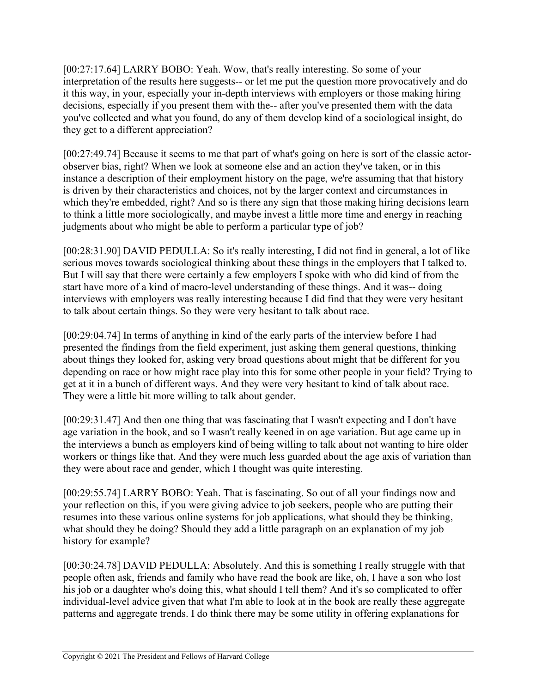[00:27:17.64] LARRY BOBO: Yeah. Wow, that's really interesting. So some of your interpretation of the results here suggests-- or let me put the question more provocatively and do it this way, in your, especially your in-depth interviews with employers or those making hiring decisions, especially if you present them with the-- after you've presented them with the data you've collected and what you found, do any of them develop kind of a sociological insight, do they get to a different appreciation?

[00:27:49.74] Because it seems to me that part of what's going on here is sort of the classic actorobserver bias, right? When we look at someone else and an action they've taken, or in this instance a description of their employment history on the page, we're assuming that that history is driven by their characteristics and choices, not by the larger context and circumstances in which they're embedded, right? And so is there any sign that those making hiring decisions learn to think a little more sociologically, and maybe invest a little more time and energy in reaching judgments about who might be able to perform a particular type of job?

[00:28:31.90] DAVID PEDULLA: So it's really interesting, I did not find in general, a lot of like serious moves towards sociological thinking about these things in the employers that I talked to. But I will say that there were certainly a few employers I spoke with who did kind of from the start have more of a kind of macro-level understanding of these things. And it was-- doing interviews with employers was really interesting because I did find that they were very hesitant to talk about certain things. So they were very hesitant to talk about race.

[00:29:04.74] In terms of anything in kind of the early parts of the interview before I had presented the findings from the field experiment, just asking them general questions, thinking about things they looked for, asking very broad questions about might that be different for you depending on race or how might race play into this for some other people in your field? Trying to get at it in a bunch of different ways. And they were very hesitant to kind of talk about race. They were a little bit more willing to talk about gender.

[00:29:31.47] And then one thing that was fascinating that I wasn't expecting and I don't have age variation in the book, and so I wasn't really keened in on age variation. But age came up in the interviews a bunch as employers kind of being willing to talk about not wanting to hire older workers or things like that. And they were much less guarded about the age axis of variation than they were about race and gender, which I thought was quite interesting.

[00:29:55.74] LARRY BOBO: Yeah. That is fascinating. So out of all your findings now and your reflection on this, if you were giving advice to job seekers, people who are putting their resumes into these various online systems for job applications, what should they be thinking, what should they be doing? Should they add a little paragraph on an explanation of my job history for example?

[00:30:24.78] DAVID PEDULLA: Absolutely. And this is something I really struggle with that people often ask, friends and family who have read the book are like, oh, I have a son who lost his job or a daughter who's doing this, what should I tell them? And it's so complicated to offer individual-level advice given that what I'm able to look at in the book are really these aggregate patterns and aggregate trends. I do think there may be some utility in offering explanations for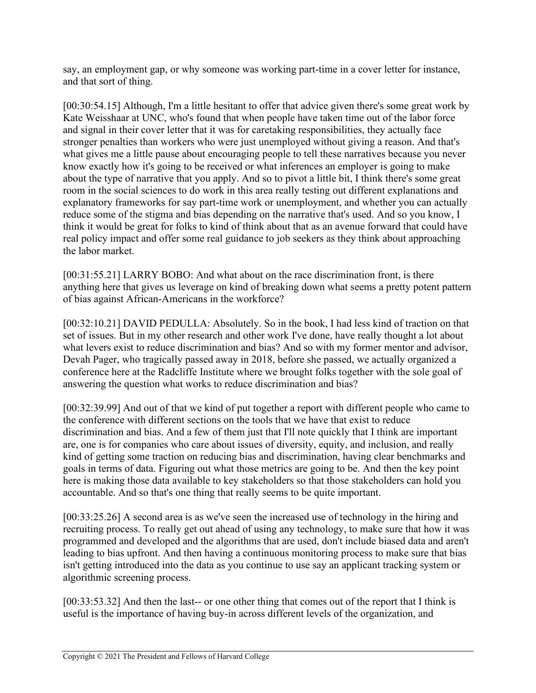say, an employment gap, or why someone was working part-time in a cover letter for instance, and that sort of thing.

[00:30:54.15] Although, I'm a little hesitant to offer that advice given there's some great work by Kate Weisshaar at UNC, who's found that when people have taken time out of the labor force and signal in their cover letter that it was for caretaking responsibilities, they actually face stronger penalties than workers who were just unemployed without giving a reason. And that's what gives me a little pause about encouraging people to tell these narratives because you never know exactly how it's going to be received or what inferences an employer is going to make about the type of narrative that you apply. And so to pivot a little bit, I think there's some great room in the social sciences to do work in this area really testing out different explanations and explanatory frameworks for say part-time work or unemployment, and whether you can actually reduce some of the stigma and bias depending on the narrative that's used. And so you know, I think it would be great for folks to kind of think about that as an avenue forward that could have real policy impact and offer some real guidance to job seekers as they think about approaching the labor market.

[00:31:55.21] LARRY BOBO: And what about on the race discrimination front, is there anything here that gives us leverage on kind of breaking down what seems a pretty potent pattern of bias against African-Americans in the workforce?

[00:32:10.21] DAVID PEDULLA: Absolutely. So in the book, I had less kind of traction on that set of issues. But in my other research and other work I've done, have really thought a lot about what levers exist to reduce discrimination and bias? And so with my former mentor and advisor, Devah Pager, who tragically passed away in 2018, before she passed, we actually organized a conference here at the Radcliffe Institute where we brought folks together with the sole goal of answering the question what works to reduce discrimination and bias?

[00:32:39.99] And out of that we kind of put together a report with different people who came to the conference with different sections on the tools that we have that exist to reduce discrimination and bias. And a few of them just that I'll note quickly that I think are important are, one is for companies who care about issues of diversity, equity, and inclusion, and really kind of getting some traction on reducing bias and discrimination, having clear benchmarks and goals in terms of data. Figuring out what those metrics are going to be. And then the key point here is making those data available to key stakeholders so that those stakeholders can hold you accountable. And so that's one thing that really seems to be quite important.

[00:33:25.26] A second area is as we've seen the increased use of technology in the hiring and recruiting process. To really get out ahead of using any technology, to make sure that how it was programmed and developed and the algorithms that are used, don't include biased data and aren't leading to bias upfront. And then having a continuous monitoring process to make sure that bias isn't getting introduced into the data as you continue to use say an applicant tracking system or algorithmic screening process.

[00:33:53.32] And then the last-- or one other thing that comes out of the report that I think is useful is the importance of having buy-in across different levels of the organization, and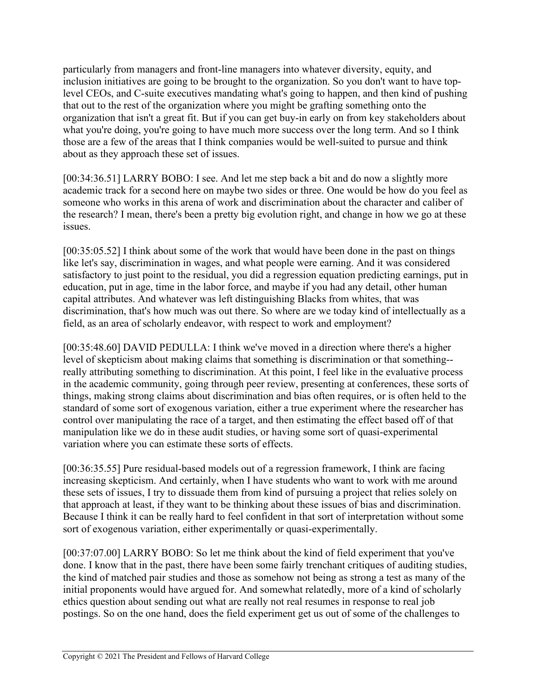particularly from managers and front-line managers into whatever diversity, equity, and inclusion initiatives are going to be brought to the organization. So you don't want to have toplevel CEOs, and C-suite executives mandating what's going to happen, and then kind of pushing that out to the rest of the organization where you might be grafting something onto the organization that isn't a great fit. But if you can get buy-in early on from key stakeholders about what you're doing, you're going to have much more success over the long term. And so I think those are a few of the areas that I think companies would be well-suited to pursue and think about as they approach these set of issues.

[00:34:36.51] LARRY BOBO: I see. And let me step back a bit and do now a slightly more academic track for a second here on maybe two sides or three. One would be how do you feel as someone who works in this arena of work and discrimination about the character and caliber of the research? I mean, there's been a pretty big evolution right, and change in how we go at these issues.

[00:35:05.52] I think about some of the work that would have been done in the past on things like let's say, discrimination in wages, and what people were earning. And it was considered satisfactory to just point to the residual, you did a regression equation predicting earnings, put in education, put in age, time in the labor force, and maybe if you had any detail, other human capital attributes. And whatever was left distinguishing Blacks from whites, that was discrimination, that's how much was out there. So where are we today kind of intellectually as a field, as an area of scholarly endeavor, with respect to work and employment?

[00:35:48.60] DAVID PEDULLA: I think we've moved in a direction where there's a higher level of skepticism about making claims that something is discrimination or that something- really attributing something to discrimination. At this point, I feel like in the evaluative process in the academic community, going through peer review, presenting at conferences, these sorts of things, making strong claims about discrimination and bias often requires, or is often held to the standard of some sort of exogenous variation, either a true experiment where the researcher has control over manipulating the race of a target, and then estimating the effect based off of that manipulation like we do in these audit studies, or having some sort of quasi-experimental variation where you can estimate these sorts of effects.

[00:36:35.55] Pure residual-based models out of a regression framework, I think are facing increasing skepticism. And certainly, when I have students who want to work with me around these sets of issues, I try to dissuade them from kind of pursuing a project that relies solely on that approach at least, if they want to be thinking about these issues of bias and discrimination. Because I think it can be really hard to feel confident in that sort of interpretation without some sort of exogenous variation, either experimentally or quasi-experimentally.

[00:37:07.00] LARRY BOBO: So let me think about the kind of field experiment that you've done. I know that in the past, there have been some fairly trenchant critiques of auditing studies, the kind of matched pair studies and those as somehow not being as strong a test as many of the initial proponents would have argued for. And somewhat relatedly, more of a kind of scholarly ethics question about sending out what are really not real resumes in response to real job postings. So on the one hand, does the field experiment get us out of some of the challenges to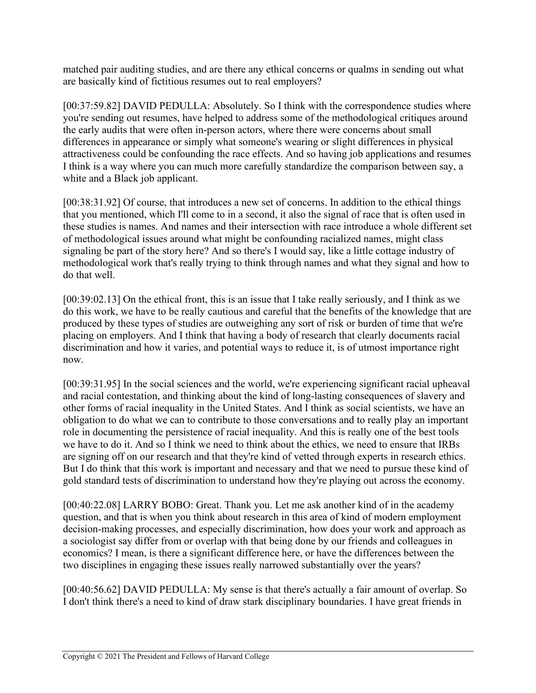matched pair auditing studies, and are there any ethical concerns or qualms in sending out what are basically kind of fictitious resumes out to real employers?

[00:37:59.82] DAVID PEDULLA: Absolutely. So I think with the correspondence studies where you're sending out resumes, have helped to address some of the methodological critiques around the early audits that were often in-person actors, where there were concerns about small differences in appearance or simply what someone's wearing or slight differences in physical attractiveness could be confounding the race effects. And so having job applications and resumes I think is a way where you can much more carefully standardize the comparison between say, a white and a Black job applicant.

[00:38:31.92] Of course, that introduces a new set of concerns. In addition to the ethical things that you mentioned, which I'll come to in a second, it also the signal of race that is often used in these studies is names. And names and their intersection with race introduce a whole different set of methodological issues around what might be confounding racialized names, might class signaling be part of the story here? And so there's I would say, like a little cottage industry of methodological work that's really trying to think through names and what they signal and how to do that well.

[00:39:02.13] On the ethical front, this is an issue that I take really seriously, and I think as we do this work, we have to be really cautious and careful that the benefits of the knowledge that are produced by these types of studies are outweighing any sort of risk or burden of time that we're placing on employers. And I think that having a body of research that clearly documents racial discrimination and how it varies, and potential ways to reduce it, is of utmost importance right now.

[00:39:31.95] In the social sciences and the world, we're experiencing significant racial upheaval and racial contestation, and thinking about the kind of long-lasting consequences of slavery and other forms of racial inequality in the United States. And I think as social scientists, we have an obligation to do what we can to contribute to those conversations and to really play an important role in documenting the persistence of racial inequality. And this is really one of the best tools we have to do it. And so I think we need to think about the ethics, we need to ensure that IRBs are signing off on our research and that they're kind of vetted through experts in research ethics. But I do think that this work is important and necessary and that we need to pursue these kind of gold standard tests of discrimination to understand how they're playing out across the economy.

[00:40:22.08] LARRY BOBO: Great. Thank you. Let me ask another kind of in the academy question, and that is when you think about research in this area of kind of modern employment decision-making processes, and especially discrimination, how does your work and approach as a sociologist say differ from or overlap with that being done by our friends and colleagues in economics? I mean, is there a significant difference here, or have the differences between the two disciplines in engaging these issues really narrowed substantially over the years?

[00:40:56.62] DAVID PEDULLA: My sense is that there's actually a fair amount of overlap. So I don't think there's a need to kind of draw stark disciplinary boundaries. I have great friends in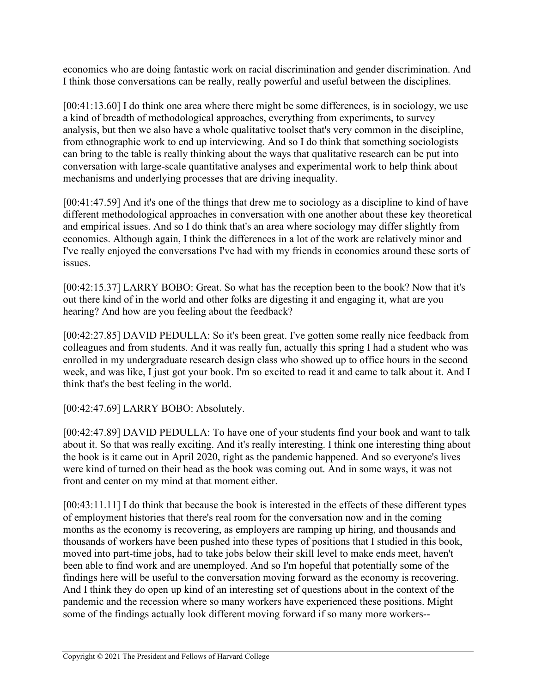economics who are doing fantastic work on racial discrimination and gender discrimination. And I think those conversations can be really, really powerful and useful between the disciplines.

[00:41:13.60] I do think one area where there might be some differences, is in sociology, we use a kind of breadth of methodological approaches, everything from experiments, to survey analysis, but then we also have a whole qualitative toolset that's very common in the discipline, from ethnographic work to end up interviewing. And so I do think that something sociologists can bring to the table is really thinking about the ways that qualitative research can be put into conversation with large-scale quantitative analyses and experimental work to help think about mechanisms and underlying processes that are driving inequality.

[00:41:47.59] And it's one of the things that drew me to sociology as a discipline to kind of have different methodological approaches in conversation with one another about these key theoretical and empirical issues. And so I do think that's an area where sociology may differ slightly from economics. Although again, I think the differences in a lot of the work are relatively minor and I've really enjoyed the conversations I've had with my friends in economics around these sorts of issues.

[00:42:15.37] LARRY BOBO: Great. So what has the reception been to the book? Now that it's out there kind of in the world and other folks are digesting it and engaging it, what are you hearing? And how are you feeling about the feedback?

[00:42:27.85] DAVID PEDULLA: So it's been great. I've gotten some really nice feedback from colleagues and from students. And it was really fun, actually this spring I had a student who was enrolled in my undergraduate research design class who showed up to office hours in the second week, and was like, I just got your book. I'm so excited to read it and came to talk about it. And I think that's the best feeling in the world.

[00:42:47.69] LARRY BOBO: Absolutely.

[00:42:47.89] DAVID PEDULLA: To have one of your students find your book and want to talk about it. So that was really exciting. And it's really interesting. I think one interesting thing about the book is it came out in April 2020, right as the pandemic happened. And so everyone's lives were kind of turned on their head as the book was coming out. And in some ways, it was not front and center on my mind at that moment either.

[00:43:11.11] I do think that because the book is interested in the effects of these different types of employment histories that there's real room for the conversation now and in the coming months as the economy is recovering, as employers are ramping up hiring, and thousands and thousands of workers have been pushed into these types of positions that I studied in this book, moved into part-time jobs, had to take jobs below their skill level to make ends meet, haven't been able to find work and are unemployed. And so I'm hopeful that potentially some of the findings here will be useful to the conversation moving forward as the economy is recovering. And I think they do open up kind of an interesting set of questions about in the context of the pandemic and the recession where so many workers have experienced these positions. Might some of the findings actually look different moving forward if so many more workers--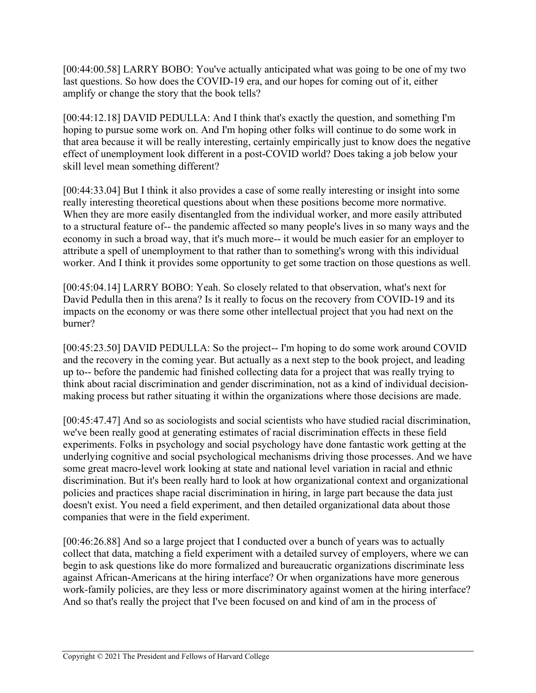[00:44:00.58] LARRY BOBO: You've actually anticipated what was going to be one of my two last questions. So how does the COVID-19 era, and our hopes for coming out of it, either amplify or change the story that the book tells?

[00:44:12.18] DAVID PEDULLA: And I think that's exactly the question, and something I'm hoping to pursue some work on. And I'm hoping other folks will continue to do some work in that area because it will be really interesting, certainly empirically just to know does the negative effect of unemployment look different in a post-COVID world? Does taking a job below your skill level mean something different?

[00:44:33.04] But I think it also provides a case of some really interesting or insight into some really interesting theoretical questions about when these positions become more normative. When they are more easily disentangled from the individual worker, and more easily attributed to a structural feature of-- the pandemic affected so many people's lives in so many ways and the economy in such a broad way, that it's much more-- it would be much easier for an employer to attribute a spell of unemployment to that rather than to something's wrong with this individual worker. And I think it provides some opportunity to get some traction on those questions as well.

[00:45:04.14] LARRY BOBO: Yeah. So closely related to that observation, what's next for David Pedulla then in this arena? Is it really to focus on the recovery from COVID-19 and its impacts on the economy or was there some other intellectual project that you had next on the burner?

[00:45:23.50] DAVID PEDULLA: So the project-- I'm hoping to do some work around COVID and the recovery in the coming year. But actually as a next step to the book project, and leading up to-- before the pandemic had finished collecting data for a project that was really trying to think about racial discrimination and gender discrimination, not as a kind of individual decisionmaking process but rather situating it within the organizations where those decisions are made.

[00:45:47.47] And so as sociologists and social scientists who have studied racial discrimination, we've been really good at generating estimates of racial discrimination effects in these field experiments. Folks in psychology and social psychology have done fantastic work getting at the underlying cognitive and social psychological mechanisms driving those processes. And we have some great macro-level work looking at state and national level variation in racial and ethnic discrimination. But it's been really hard to look at how organizational context and organizational policies and practices shape racial discrimination in hiring, in large part because the data just doesn't exist. You need a field experiment, and then detailed organizational data about those companies that were in the field experiment.

[00:46:26.88] And so a large project that I conducted over a bunch of years was to actually collect that data, matching a field experiment with a detailed survey of employers, where we can begin to ask questions like do more formalized and bureaucratic organizations discriminate less against African-Americans at the hiring interface? Or when organizations have more generous work-family policies, are they less or more discriminatory against women at the hiring interface? And so that's really the project that I've been focused on and kind of am in the process of